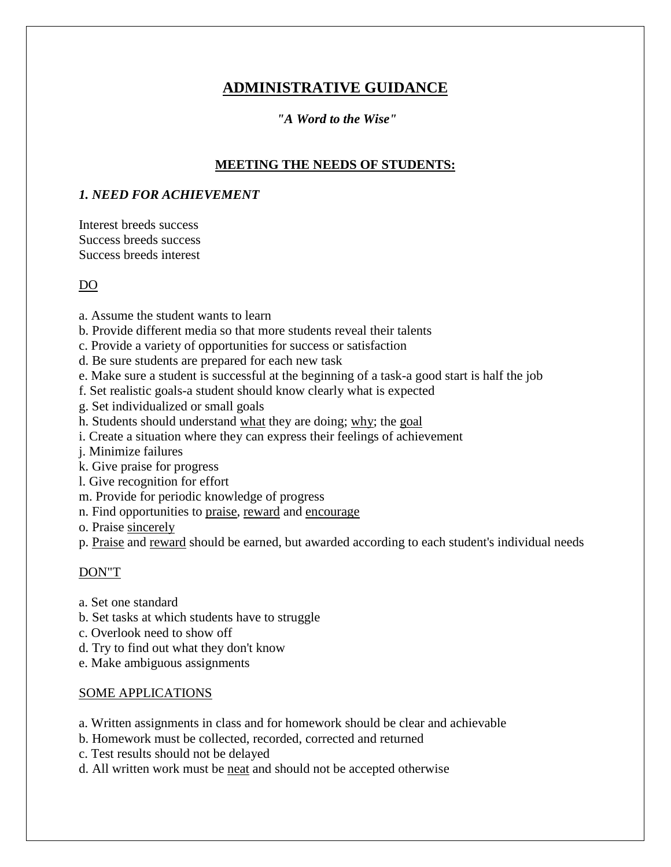# **ADMINISTRATIVE GUIDANCE**

### *"A Word to the Wise"*

### **MEETING THE NEEDS OF STUDENTS:**

### *1. NEED FOR ACHIEVEMENT*

Interest breeds success Success breeds success Success breeds interest

#### DO

- a. Assume the student wants to learn
- b. Provide different media so that more students reveal their talents
- c. Provide a variety of opportunities for success or satisfaction
- d. Be sure students are prepared for each new task
- e. Make sure a student is successful at the beginning of a task-a good start is half the job
- f. Set realistic goals-a student should know clearly what is expected
- g. Set individualized or small goals
- h. Students should understand what they are doing; why; the goal
- i. Create a situation where they can express their feelings of achievement
- j. Minimize failures
- k. Give praise for progress
- l. Give recognition for effort
- m. Provide for periodic knowledge of progress
- n. Find opportunities to praise, reward and encourage
- o. Praise sincerely
- p. Praise and reward should be earned, but awarded according to each student's individual needs

#### DON"T

- a. Set one standard
- b. Set tasks at which students have to struggle
- c. Overlook need to show off
- d. Try to find out what they don't know
- e. Make ambiguous assignments

#### SOME APPLICATIONS

- a. Written assignments in class and for homework should be clear and achievable
- b. Homework must be collected, recorded, corrected and returned
- c. Test results should not be delayed
- d. All written work must be neat and should not be accepted otherwise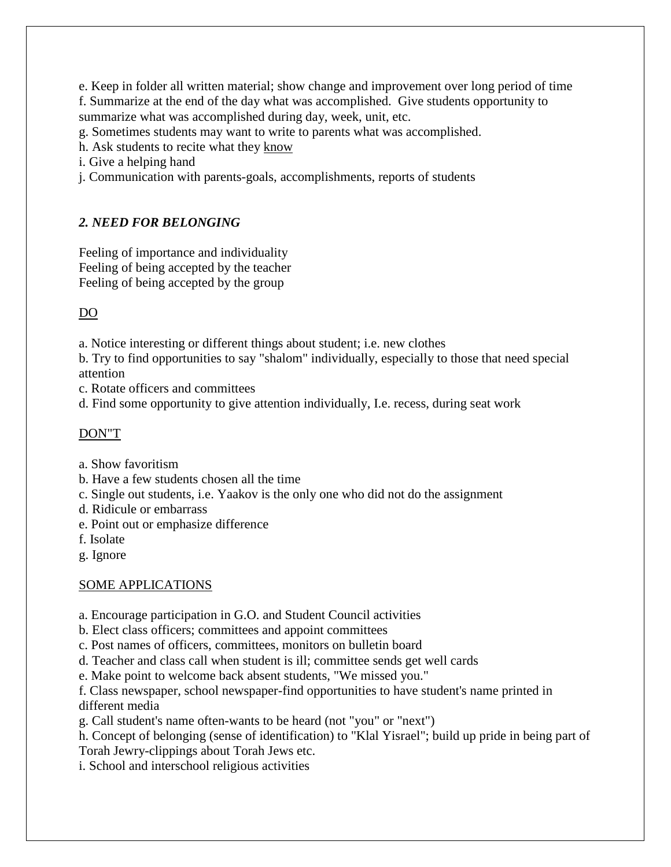e. Keep in folder all written material; show change and improvement over long period of time f. Summarize at the end of the day what was accomplished. Give students opportunity to summarize what was accomplished during day, week, unit, etc.

g. Sometimes students may want to write to parents what was accomplished.

h. Ask students to recite what they know

i. Give a helping hand

j. Communication with parents-goals, accomplishments, reports of students

## *2. NEED FOR BELONGING*

Feeling of importance and individuality Feeling of being accepted by the teacher Feeling of being accepted by the group

## DO

a. Notice interesting or different things about student; i.e. new clothes

b. Try to find opportunities to say "shalom" individually, especially to those that need special attention

c. Rotate officers and committees

d. Find some opportunity to give attention individually, I.e. recess, during seat work

### DON"T

- a. Show favoritism
- b. Have a few students chosen all the time
- c. Single out students, i.e. Yaakov is the only one who did not do the assignment
- d. Ridicule or embarrass
- e. Point out or emphasize difference
- f. Isolate
- g. Ignore

### SOME APPLICATIONS

- a. Encourage participation in G.O. and Student Council activities
- b. Elect class officers; committees and appoint committees
- c. Post names of officers, committees, monitors on bulletin board

d. Teacher and class call when student is ill; committee sends get well cards

e. Make point to welcome back absent students, "We missed you."

f. Class newspaper, school newspaper-find opportunities to have student's name printed in different media

g. Call student's name often-wants to be heard (not "you" or "next")

h. Concept of belonging (sense of identification) to "Klal Yisrael"; build up pride in being part of Torah Jewry-clippings about Torah Jews etc.

i. School and interschool religious activities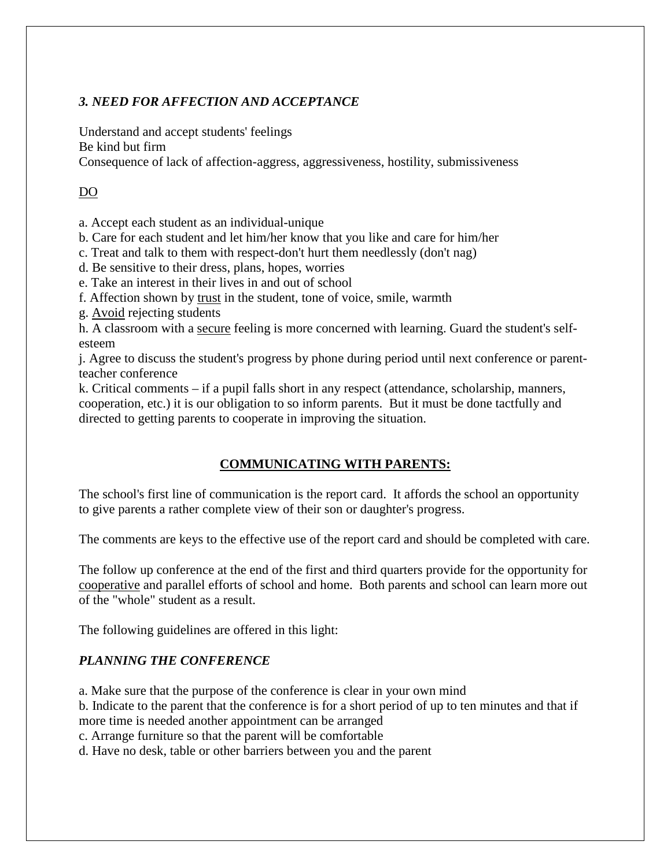### *3. NEED FOR AFFECTION AND ACCEPTANCE*

Understand and accept students' feelings Be kind but firm Consequence of lack of affection-aggress, aggressiveness, hostility, submissiveness

### DO

a. Accept each student as an individual-unique

b. Care for each student and let him/her know that you like and care for him/her

c. Treat and talk to them with respect-don't hurt them needlessly (don't nag)

d. Be sensitive to their dress, plans, hopes, worries

e. Take an interest in their lives in and out of school

f. Affection shown by trust in the student, tone of voice, smile, warmth

g. Avoid rejecting students

h. A classroom with a secure feeling is more concerned with learning. Guard the student's selfesteem

j. Agree to discuss the student's progress by phone during period until next conference or parentteacher conference

k. Critical comments – if a pupil falls short in any respect (attendance, scholarship, manners, cooperation, etc.) it is our obligation to so inform parents. But it must be done tactfully and directed to getting parents to cooperate in improving the situation.

### **COMMUNICATING WITH PARENTS:**

The school's first line of communication is the report card. It affords the school an opportunity to give parents a rather complete view of their son or daughter's progress.

The comments are keys to the effective use of the report card and should be completed with care.

The follow up conference at the end of the first and third quarters provide for the opportunity for cooperative and parallel efforts of school and home. Both parents and school can learn more out of the "whole" student as a result.

The following guidelines are offered in this light:

### *PLANNING THE CONFERENCE*

a. Make sure that the purpose of the conference is clear in your own mind

b. Indicate to the parent that the conference is for a short period of up to ten minutes and that if

more time is needed another appointment can be arranged

c. Arrange furniture so that the parent will be comfortable

d. Have no desk, table or other barriers between you and the parent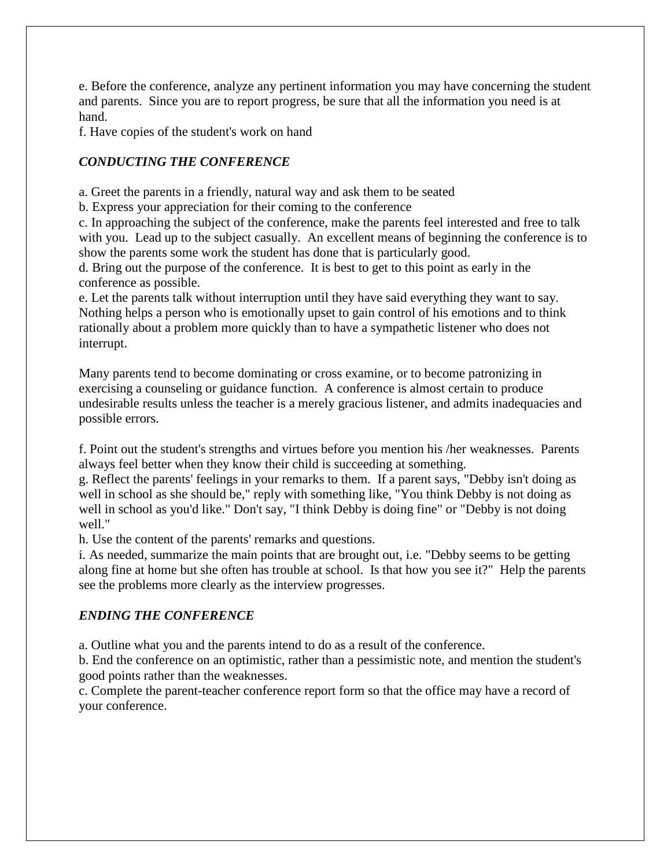e. Before the conference, analyze any pertinent information you may have concerning the student and parents. Since you are to report progress, be sure that all the information you need is at hand.

f. Have copies of the student's work on hand

### *CONDUCTING THE CONFERENCE*

a. Greet the parents in a friendly, natural way and ask them to be seated

b. Express your appreciation for their coming to the conference

c. In approaching the subject of the conference, make the parents feel interested and free to talk with you. Lead up to the subject casually. An excellent means of beginning the conference is to show the parents some work the student has done that is particularly good.

d. Bring out the purpose of the conference. It is best to get to this point as early in the conference as possible.

e. Let the parents talk without interruption until they have said everything they want to say. Nothing helps a person who is emotionally upset to gain control of his emotions and to think rationally about a problem more quickly than to have a sympathetic listener who does not interrupt.

Many parents tend to become dominating or cross examine, or to become patronizing in exercising a counseling or guidance function. A conference is almost certain to produce undesirable results unless the teacher is a merely gracious listener, and admits inadequacies and possible errors.

f. Point out the student's strengths and virtues before you mention his /her weaknesses. Parents always feel better when they know their child is succeeding at something.

g. Reflect the parents' feelings in your remarks to them. If a parent says, "Debby isn't doing as well in school as she should be," reply with something like, "You think Debby is not doing as well in school as you'd like." Don't say, "I think Debby is doing fine" or "Debby is not doing well."

h. Use the content of the parents' remarks and questions.

i. As needed, summarize the main points that are brought out, i.e. "Debby seems to be getting along fine at home but she often has trouble at school. Is that how you see it?" Help the parents see the problems more clearly as the interview progresses.

### *ENDING THE CONFERENCE*

a. Outline what you and the parents intend to do as a result of the conference.

b. End the conference on an optimistic, rather than a pessimistic note, and mention the student's good points rather than the weaknesses.

c. Complete the parent-teacher conference report form so that the office may have a record of your conference.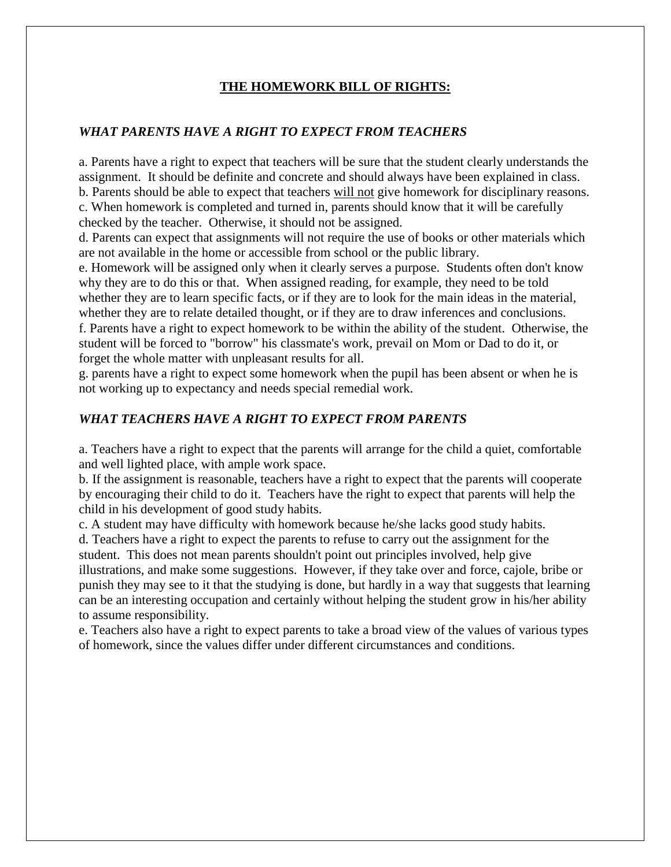#### **THE HOMEWORK BILL OF RIGHTS:**

### *WHAT PARENTS HAVE A RIGHT TO EXPECT FROM TEACHERS*

a. Parents have a right to expect that teachers will be sure that the student clearly understands the assignment. It should be definite and concrete and should always have been explained in class. b. Parents should be able to expect that teachers will not give homework for disciplinary reasons. c. When homework is completed and turned in, parents should know that it will be carefully checked by the teacher. Otherwise, it should not be assigned.

d. Parents can expect that assignments will not require the use of books or other materials which are not available in the home or accessible from school or the public library.

e. Homework will be assigned only when it clearly serves a purpose. Students often don't know why they are to do this or that. When assigned reading, for example, they need to be told whether they are to learn specific facts, or if they are to look for the main ideas in the material, whether they are to relate detailed thought, or if they are to draw inferences and conclusions. f. Parents have a right to expect homework to be within the ability of the student. Otherwise, the student will be forced to "borrow" his classmate's work, prevail on Mom or Dad to do it, or forget the whole matter with unpleasant results for all.

g. parents have a right to expect some homework when the pupil has been absent or when he is not working up to expectancy and needs special remedial work.

### *WHAT TEACHERS HAVE A RIGHT TO EXPECT FROM PARENTS*

a. Teachers have a right to expect that the parents will arrange for the child a quiet, comfortable and well lighted place, with ample work space.

b. If the assignment is reasonable, teachers have a right to expect that the parents will cooperate by encouraging their child to do it. Teachers have the right to expect that parents will help the child in his development of good study habits.

c. A student may have difficulty with homework because he/she lacks good study habits. d. Teachers have a right to expect the parents to refuse to carry out the assignment for the student. This does not mean parents shouldn't point out principles involved, help give illustrations, and make some suggestions. However, if they take over and force, cajole, bribe or punish they may see to it that the studying is done, but hardly in a way that suggests that learning can be an interesting occupation and certainly without helping the student grow in his/her ability to assume responsibility.

e. Teachers also have a right to expect parents to take a broad view of the values of various types of homework, since the values differ under different circumstances and conditions.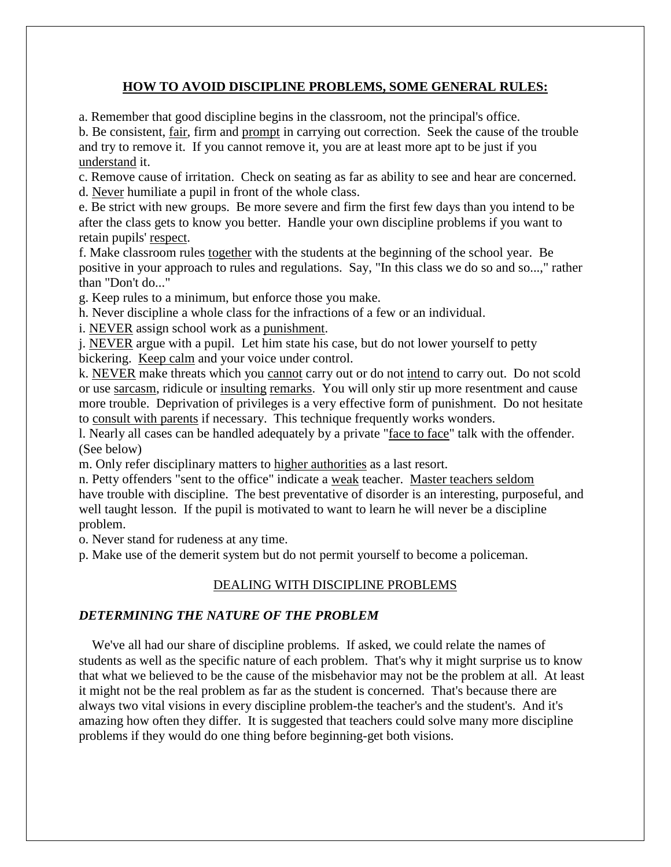### **HOW TO AVOID DISCIPLINE PROBLEMS, SOME GENERAL RULES:**

a. Remember that good discipline begins in the classroom, not the principal's office.

b. Be consistent, fair, firm and prompt in carrying out correction. Seek the cause of the trouble and try to remove it. If you cannot remove it, you are at least more apt to be just if you understand it.

c. Remove cause of irritation. Check on seating as far as ability to see and hear are concerned. d. Never humiliate a pupil in front of the whole class.

e. Be strict with new groups. Be more severe and firm the first few days than you intend to be after the class gets to know you better. Handle your own discipline problems if you want to retain pupils' respect.

f. Make classroom rules together with the students at the beginning of the school year. Be positive in your approach to rules and regulations. Say, "In this class we do so and so...," rather than "Don't do..."

g. Keep rules to a minimum, but enforce those you make.

h. Never discipline a whole class for the infractions of a few or an individual.

i. NEVER assign school work as a punishment.

j. NEVER argue with a pupil. Let him state his case, but do not lower yourself to petty bickering. Keep calm and your voice under control.

k. NEVER make threats which you cannot carry out or do not intend to carry out. Do not scold or use sarcasm, ridicule or insulting remarks. You will only stir up more resentment and cause more trouble. Deprivation of privileges is a very effective form of punishment. Do not hesitate to consult with parents if necessary. This technique frequently works wonders.

l. Nearly all cases can be handled adequately by a private "face to face" talk with the offender. (See below)

m. Only refer disciplinary matters to higher authorities as a last resort.

n. Petty offenders "sent to the office" indicate a weak teacher. Master teachers seldom have trouble with discipline. The best preventative of disorder is an interesting, purposeful, and well taught lesson. If the pupil is motivated to want to learn he will never be a discipline problem.

o. Never stand for rudeness at any time.

p. Make use of the demerit system but do not permit yourself to become a policeman.

### DEALING WITH DISCIPLINE PROBLEMS

#### *DETERMINING THE NATURE OF THE PROBLEM*

 We've all had our share of discipline problems. If asked, we could relate the names of students as well as the specific nature of each problem. That's why it might surprise us to know that what we believed to be the cause of the misbehavior may not be the problem at all. At least it might not be the real problem as far as the student is concerned. That's because there are always two vital visions in every discipline problem-the teacher's and the student's. And it's amazing how often they differ. It is suggested that teachers could solve many more discipline problems if they would do one thing before beginning-get both visions.